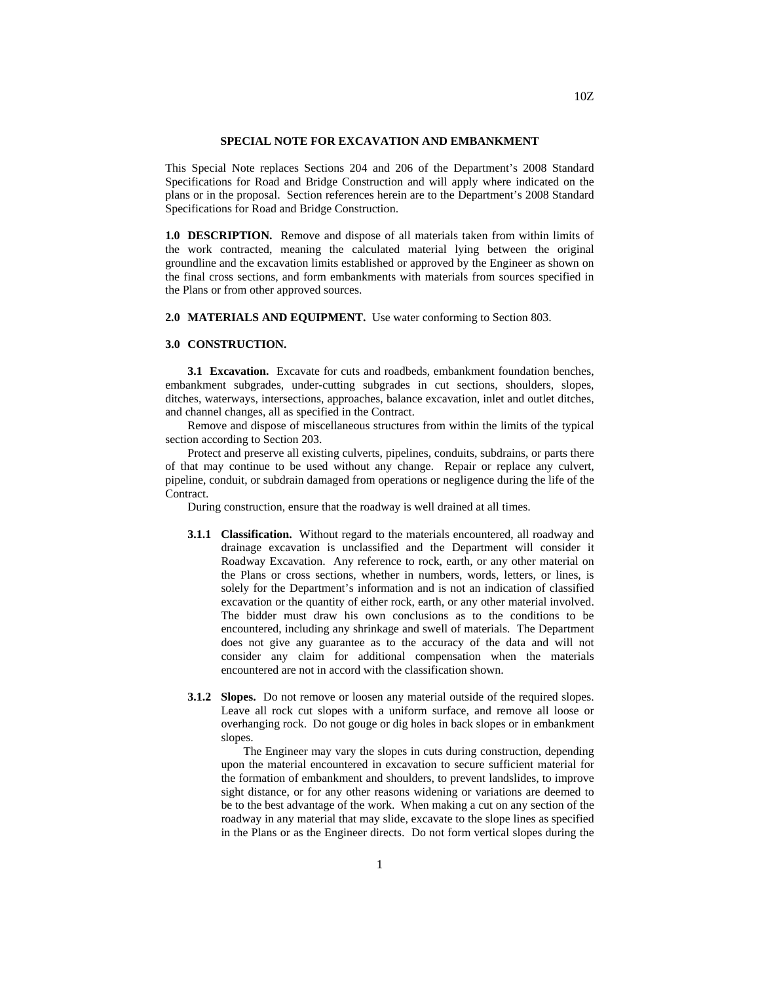## **SPECIAL NOTE FOR EXCAVATION AND EMBANKMENT**

This Special Note replaces Sections 204 and 206 of the Department's 2008 Standard Specifications for Road and Bridge Construction and will apply where indicated on the plans or in the proposal. Section references herein are to the Department's 2008 Standard Specifications for Road and Bridge Construction.

**1.0 DESCRIPTION.** Remove and dispose of all materials taken from within limits of the work contracted, meaning the calculated material lying between the original groundline and the excavation limits established or approved by the Engineer as shown on the final cross sections, and form embankments with materials from sources specified in the Plans or from other approved sources.

**2.0 MATERIALS AND EQUIPMENT.** Use water conforming to Section 803.

## **3.0 CONSTRUCTION.**

**3.1 Excavation.** Excavate for cuts and roadbeds, embankment foundation benches, embankment subgrades, under-cutting subgrades in cut sections, shoulders, slopes, ditches, waterways, intersections, approaches, balance excavation, inlet and outlet ditches, and channel changes, all as specified in the Contract.

Remove and dispose of miscellaneous structures from within the limits of the typical section according to Section 203.

Protect and preserve all existing culverts, pipelines, conduits, subdrains, or parts there of that may continue to be used without any change. Repair or replace any culvert, pipeline, conduit, or subdrain damaged from operations or negligence during the life of the Contract.

During construction, ensure that the roadway is well drained at all times.

- **3.1.1 Classification.** Without regard to the materials encountered, all roadway and drainage excavation is unclassified and the Department will consider it Roadway Excavation. Any reference to rock, earth, or any other material on the Plans or cross sections, whether in numbers, words, letters, or lines, is solely for the Department's information and is not an indication of classified excavation or the quantity of either rock, earth, or any other material involved. The bidder must draw his own conclusions as to the conditions to be encountered, including any shrinkage and swell of materials. The Department does not give any guarantee as to the accuracy of the data and will not consider any claim for additional compensation when the materials encountered are not in accord with the classification shown.
- **3.1.2 Slopes.** Do not remove or loosen any material outside of the required slopes. Leave all rock cut slopes with a uniform surface, and remove all loose or overhanging rock. Do not gouge or dig holes in back slopes or in embankment slopes.

The Engineer may vary the slopes in cuts during construction, depending upon the material encountered in excavation to secure sufficient material for the formation of embankment and shoulders, to prevent landslides, to improve sight distance, or for any other reasons widening or variations are deemed to be to the best advantage of the work. When making a cut on any section of the roadway in any material that may slide, excavate to the slope lines as specified in the Plans or as the Engineer directs. Do not form vertical slopes during the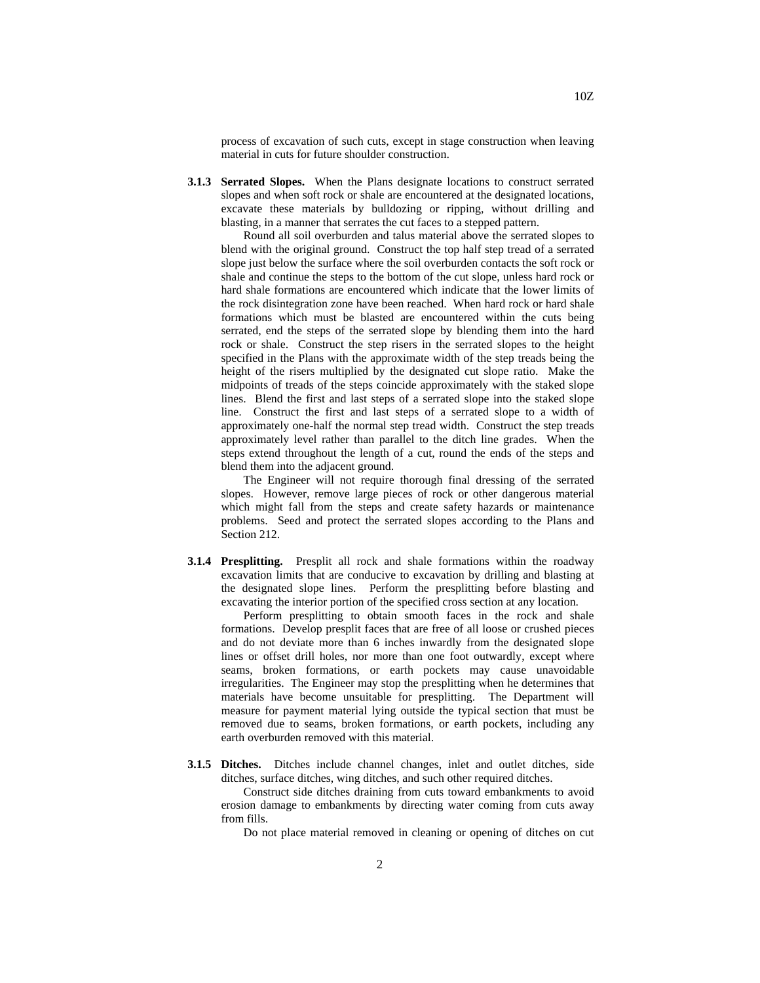process of excavation of such cuts, except in stage construction when leaving material in cuts for future shoulder construction.

**3.1.3 Serrated Slopes.** When the Plans designate locations to construct serrated slopes and when soft rock or shale are encountered at the designated locations, excavate these materials by bulldozing or ripping, without drilling and blasting, in a manner that serrates the cut faces to a stepped pattern.

Round all soil overburden and talus material above the serrated slopes to blend with the original ground. Construct the top half step tread of a serrated slope just below the surface where the soil overburden contacts the soft rock or shale and continue the steps to the bottom of the cut slope, unless hard rock or hard shale formations are encountered which indicate that the lower limits of the rock disintegration zone have been reached. When hard rock or hard shale formations which must be blasted are encountered within the cuts being serrated, end the steps of the serrated slope by blending them into the hard rock or shale. Construct the step risers in the serrated slopes to the height specified in the Plans with the approximate width of the step treads being the height of the risers multiplied by the designated cut slope ratio. Make the midpoints of treads of the steps coincide approximately with the staked slope lines. Blend the first and last steps of a serrated slope into the staked slope line. Construct the first and last steps of a serrated slope to a width of approximately one-half the normal step tread width. Construct the step treads approximately level rather than parallel to the ditch line grades. When the steps extend throughout the length of a cut, round the ends of the steps and blend them into the adjacent ground.

The Engineer will not require thorough final dressing of the serrated slopes. However, remove large pieces of rock or other dangerous material which might fall from the steps and create safety hazards or maintenance problems. Seed and protect the serrated slopes according to the Plans and Section 212.

**3.1.4 Presplitting.** Presplit all rock and shale formations within the roadway excavation limits that are conducive to excavation by drilling and blasting at the designated slope lines. Perform the presplitting before blasting and excavating the interior portion of the specified cross section at any location.

Perform presplitting to obtain smooth faces in the rock and shale formations. Develop presplit faces that are free of all loose or crushed pieces and do not deviate more than 6 inches inwardly from the designated slope lines or offset drill holes, nor more than one foot outwardly, except where seams, broken formations, or earth pockets may cause unavoidable irregularities. The Engineer may stop the presplitting when he determines that materials have become unsuitable for presplitting. The Department will measure for payment material lying outside the typical section that must be removed due to seams, broken formations, or earth pockets, including any earth overburden removed with this material.

**3.1.5 Ditches.** Ditches include channel changes, inlet and outlet ditches, side ditches, surface ditches, wing ditches, and such other required ditches.

Construct side ditches draining from cuts toward embankments to avoid erosion damage to embankments by directing water coming from cuts away from fills.

Do not place material removed in cleaning or opening of ditches on cut

10Z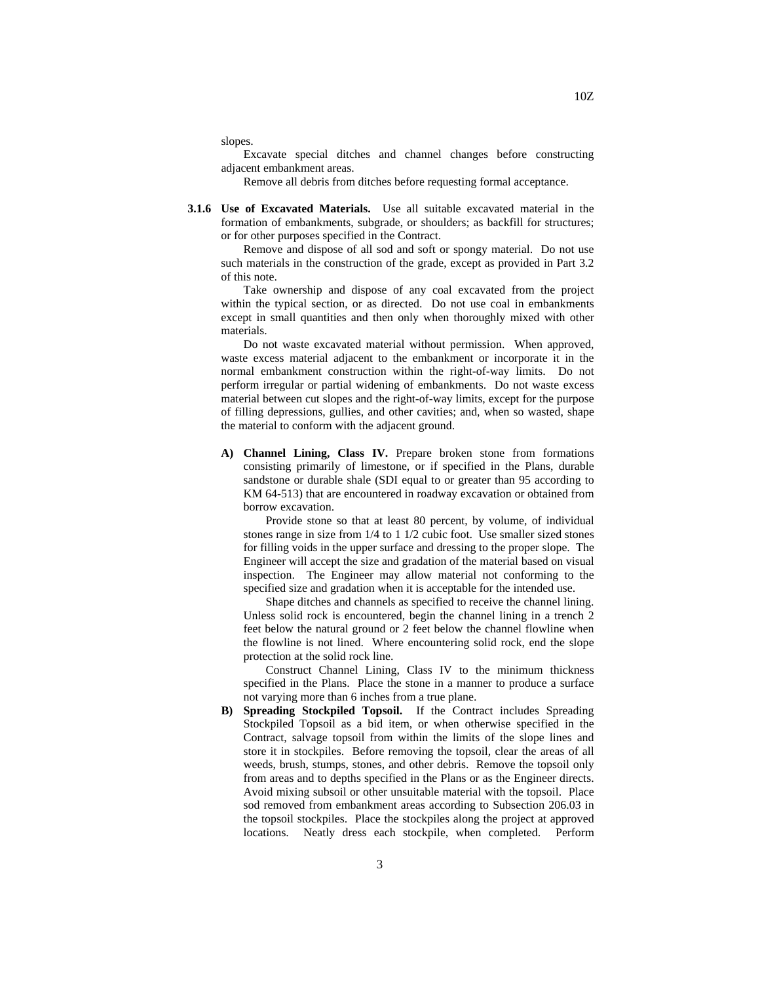slopes.

Excavate special ditches and channel changes before constructing adjacent embankment areas.

Remove all debris from ditches before requesting formal acceptance.

**3.1.6 Use of Excavated Materials.** Use all suitable excavated material in the formation of embankments, subgrade, or shoulders; as backfill for structures; or for other purposes specified in the Contract.

Remove and dispose of all sod and soft or spongy material. Do not use such materials in the construction of the grade, except as provided in Part 3.2 of this note.

Take ownership and dispose of any coal excavated from the project within the typical section, or as directed. Do not use coal in embankments except in small quantities and then only when thoroughly mixed with other materials.

Do not waste excavated material without permission. When approved, waste excess material adjacent to the embankment or incorporate it in the normal embankment construction within the right-of-way limits. Do not perform irregular or partial widening of embankments. Do not waste excess material between cut slopes and the right-of-way limits, except for the purpose of filling depressions, gullies, and other cavities; and, when so wasted, shape the material to conform with the adjacent ground.

**A) Channel Lining, Class IV.** Prepare broken stone from formations consisting primarily of limestone, or if specified in the Plans, durable sandstone or durable shale (SDI equal to or greater than 95 according to KM 64-513) that are encountered in roadway excavation or obtained from borrow excavation.

Provide stone so that at least 80 percent, by volume, of individual stones range in size from 1/4 to 1 1/2 cubic foot. Use smaller sized stones for filling voids in the upper surface and dressing to the proper slope. The Engineer will accept the size and gradation of the material based on visual inspection. The Engineer may allow material not conforming to the specified size and gradation when it is acceptable for the intended use.

Shape ditches and channels as specified to receive the channel lining. Unless solid rock is encountered, begin the channel lining in a trench 2 feet below the natural ground or 2 feet below the channel flowline when the flowline is not lined. Where encountering solid rock, end the slope protection at the solid rock line.

Construct Channel Lining, Class IV to the minimum thickness specified in the Plans. Place the stone in a manner to produce a surface not varying more than 6 inches from a true plane.

**B) Spreading Stockpiled Topsoil.** If the Contract includes Spreading Stockpiled Topsoil as a bid item, or when otherwise specified in the Contract, salvage topsoil from within the limits of the slope lines and store it in stockpiles. Before removing the topsoil, clear the areas of all weeds, brush, stumps, stones, and other debris. Remove the topsoil only from areas and to depths specified in the Plans or as the Engineer directs. Avoid mixing subsoil or other unsuitable material with the topsoil. Place sod removed from embankment areas according to Subsection 206.03 in the topsoil stockpiles. Place the stockpiles along the project at approved locations. Neatly dress each stockpile, when completed. Perform

3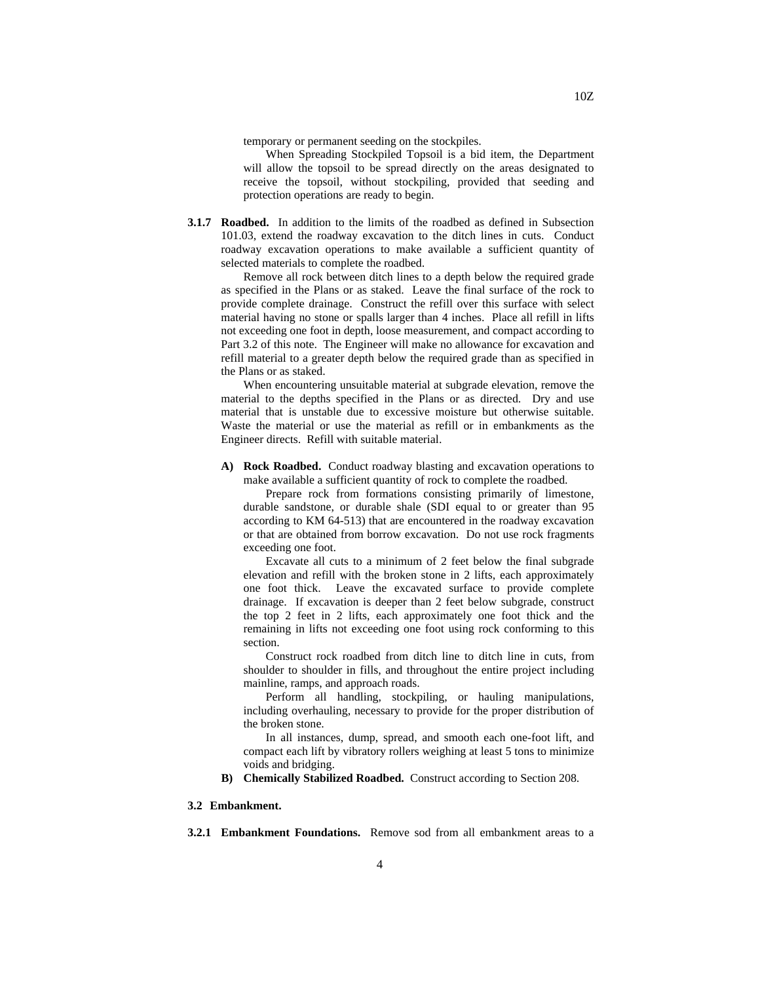temporary or permanent seeding on the stockpiles.

When Spreading Stockpiled Topsoil is a bid item, the Department will allow the topsoil to be spread directly on the areas designated to receive the topsoil, without stockpiling, provided that seeding and protection operations are ready to begin.

**3.1.7 Roadbed.** In addition to the limits of the roadbed as defined in Subsection 101.03, extend the roadway excavation to the ditch lines in cuts. Conduct roadway excavation operations to make available a sufficient quantity of selected materials to complete the roadbed.

Remove all rock between ditch lines to a depth below the required grade as specified in the Plans or as staked. Leave the final surface of the rock to provide complete drainage. Construct the refill over this surface with select material having no stone or spalls larger than 4 inches. Place all refill in lifts not exceeding one foot in depth, loose measurement, and compact according to Part 3.2 of this note. The Engineer will make no allowance for excavation and refill material to a greater depth below the required grade than as specified in the Plans or as staked.

When encountering unsuitable material at subgrade elevation, remove the material to the depths specified in the Plans or as directed. Dry and use material that is unstable due to excessive moisture but otherwise suitable. Waste the material or use the material as refill or in embankments as the Engineer directs. Refill with suitable material.

**A) Rock Roadbed.** Conduct roadway blasting and excavation operations to make available a sufficient quantity of rock to complete the roadbed.

Prepare rock from formations consisting primarily of limestone, durable sandstone, or durable shale (SDI equal to or greater than 95 according to KM 64-513) that are encountered in the roadway excavation or that are obtained from borrow excavation. Do not use rock fragments exceeding one foot.

Excavate all cuts to a minimum of 2 feet below the final subgrade elevation and refill with the broken stone in 2 lifts, each approximately one foot thick. Leave the excavated surface to provide complete drainage. If excavation is deeper than 2 feet below subgrade, construct the top 2 feet in 2 lifts, each approximately one foot thick and the remaining in lifts not exceeding one foot using rock conforming to this section.

Construct rock roadbed from ditch line to ditch line in cuts, from shoulder to shoulder in fills, and throughout the entire project including mainline, ramps, and approach roads.

Perform all handling, stockpiling, or hauling manipulations, including overhauling, necessary to provide for the proper distribution of the broken stone.

In all instances, dump, spread, and smooth each one-foot lift, and compact each lift by vibratory rollers weighing at least 5 tons to minimize voids and bridging.

**B) Chemically Stabilized Roadbed.** Construct according to Section 208.

## **3.2 Embankment.**

**3.2.1 Embankment Foundations.** Remove sod from all embankment areas to a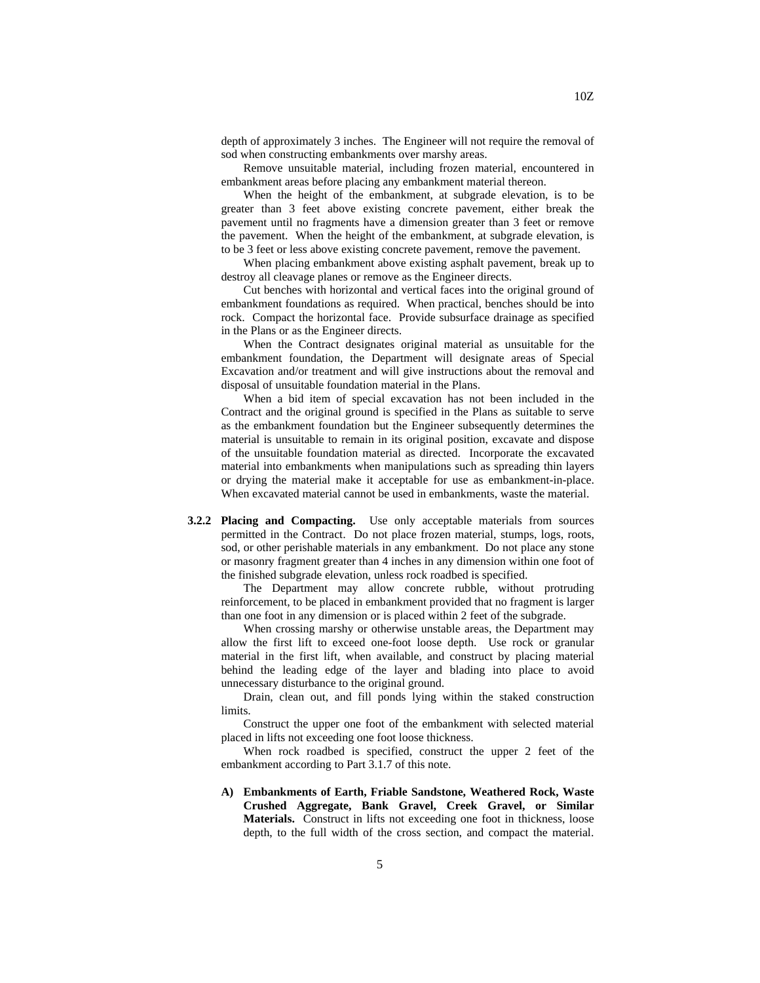depth of approximately 3 inches. The Engineer will not require the removal of sod when constructing embankments over marshy areas.

Remove unsuitable material, including frozen material, encountered in embankment areas before placing any embankment material thereon.

When the height of the embankment, at subgrade elevation, is to be greater than 3 feet above existing concrete pavement, either break the pavement until no fragments have a dimension greater than 3 feet or remove the pavement. When the height of the embankment, at subgrade elevation, is to be 3 feet or less above existing concrete pavement, remove the pavement.

When placing embankment above existing asphalt pavement, break up to destroy all cleavage planes or remove as the Engineer directs.

Cut benches with horizontal and vertical faces into the original ground of embankment foundations as required. When practical, benches should be into rock. Compact the horizontal face. Provide subsurface drainage as specified in the Plans or as the Engineer directs.

When the Contract designates original material as unsuitable for the embankment foundation, the Department will designate areas of Special Excavation and/or treatment and will give instructions about the removal and disposal of unsuitable foundation material in the Plans.

When a bid item of special excavation has not been included in the Contract and the original ground is specified in the Plans as suitable to serve as the embankment foundation but the Engineer subsequently determines the material is unsuitable to remain in its original position, excavate and dispose of the unsuitable foundation material as directed. Incorporate the excavated material into embankments when manipulations such as spreading thin layers or drying the material make it acceptable for use as embankment-in-place. When excavated material cannot be used in embankments, waste the material.

**3.2.2 Placing and Compacting.** Use only acceptable materials from sources permitted in the Contract. Do not place frozen material, stumps, logs, roots, sod, or other perishable materials in any embankment. Do not place any stone or masonry fragment greater than 4 inches in any dimension within one foot of the finished subgrade elevation, unless rock roadbed is specified.

The Department may allow concrete rubble, without protruding reinforcement, to be placed in embankment provided that no fragment is larger than one foot in any dimension or is placed within 2 feet of the subgrade.

When crossing marshy or otherwise unstable areas, the Department may allow the first lift to exceed one-foot loose depth. Use rock or granular material in the first lift, when available, and construct by placing material behind the leading edge of the layer and blading into place to avoid unnecessary disturbance to the original ground.

Drain, clean out, and fill ponds lying within the staked construction limits.

Construct the upper one foot of the embankment with selected material placed in lifts not exceeding one foot loose thickness.

When rock roadbed is specified, construct the upper 2 feet of the embankment according to Part 3.1.7 of this note.

**A) Embankments of Earth, Friable Sandstone, Weathered Rock, Waste Crushed Aggregate, Bank Gravel, Creek Gravel, or Similar Materials.** Construct in lifts not exceeding one foot in thickness, loose depth, to the full width of the cross section, and compact the material.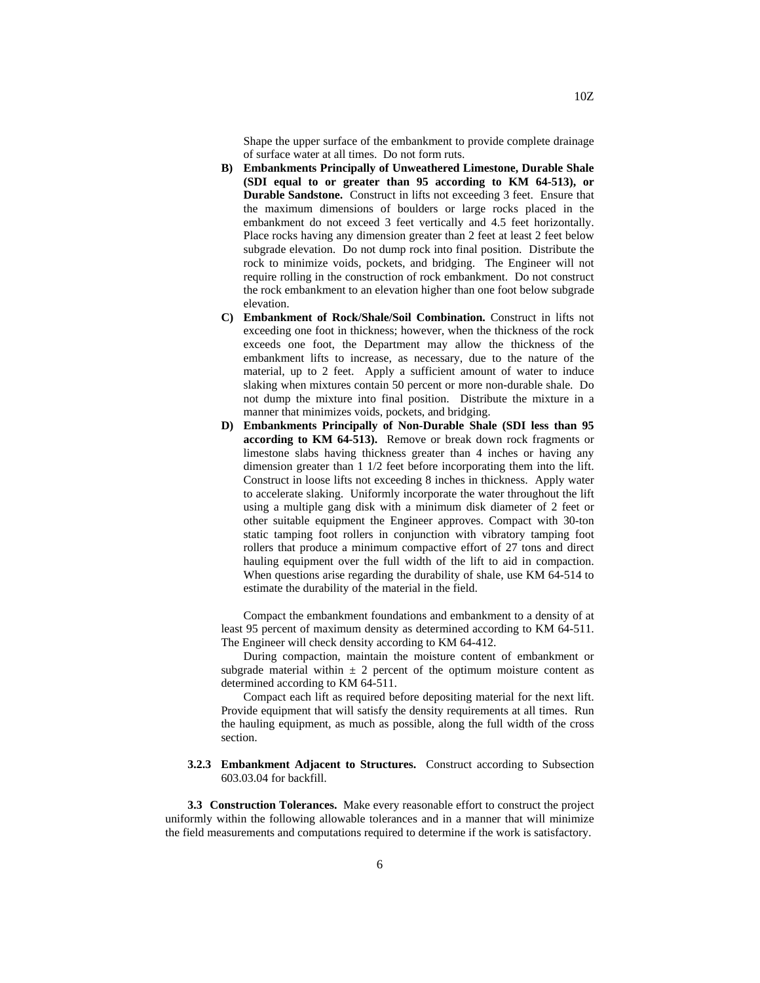Shape the upper surface of the embankment to provide complete drainage of surface water at all times. Do not form ruts.

- **B) Embankments Principally of Unweathered Limestone, Durable Shale (SDI equal to or greater than 95 according to KM 64-513), or Durable Sandstone.** Construct in lifts not exceeding 3 feet. Ensure that the maximum dimensions of boulders or large rocks placed in the embankment do not exceed 3 feet vertically and 4.5 feet horizontally. Place rocks having any dimension greater than 2 feet at least 2 feet below subgrade elevation. Do not dump rock into final position. Distribute the rock to minimize voids, pockets, and bridging. The Engineer will not require rolling in the construction of rock embankment. Do not construct the rock embankment to an elevation higher than one foot below subgrade elevation.
- **C) Embankment of Rock/Shale/Soil Combination.** Construct in lifts not exceeding one foot in thickness; however, when the thickness of the rock exceeds one foot, the Department may allow the thickness of the embankment lifts to increase, as necessary, due to the nature of the material, up to 2 feet. Apply a sufficient amount of water to induce slaking when mixtures contain 50 percent or more non-durable shale. Do not dump the mixture into final position. Distribute the mixture in a manner that minimizes voids, pockets, and bridging.
- **D) Embankments Principally of Non-Durable Shale (SDI less than 95 according to KM 64-513).** Remove or break down rock fragments or limestone slabs having thickness greater than 4 inches or having any dimension greater than 1 1/2 feet before incorporating them into the lift. Construct in loose lifts not exceeding 8 inches in thickness. Apply water to accelerate slaking. Uniformly incorporate the water throughout the lift using a multiple gang disk with a minimum disk diameter of 2 feet or other suitable equipment the Engineer approves. Compact with 30-ton static tamping foot rollers in conjunction with vibratory tamping foot rollers that produce a minimum compactive effort of 27 tons and direct hauling equipment over the full width of the lift to aid in compaction. When questions arise regarding the durability of shale, use KM 64-514 to estimate the durability of the material in the field.

Compact the embankment foundations and embankment to a density of at least 95 percent of maximum density as determined according to KM 64-511. The Engineer will check density according to KM 64-412.

During compaction, maintain the moisture content of embankment or subgrade material within  $\pm$  2 percent of the optimum moisture content as determined according to KM 64-511.

Compact each lift as required before depositing material for the next lift. Provide equipment that will satisfy the density requirements at all times. Run the hauling equipment, as much as possible, along the full width of the cross section.

**3.2.3 Embankment Adjacent to Structures.** Construct according to Subsection 603.03.04 for backfill.

**3.3 Construction Tolerances.** Make every reasonable effort to construct the project uniformly within the following allowable tolerances and in a manner that will minimize the field measurements and computations required to determine if the work is satisfactory.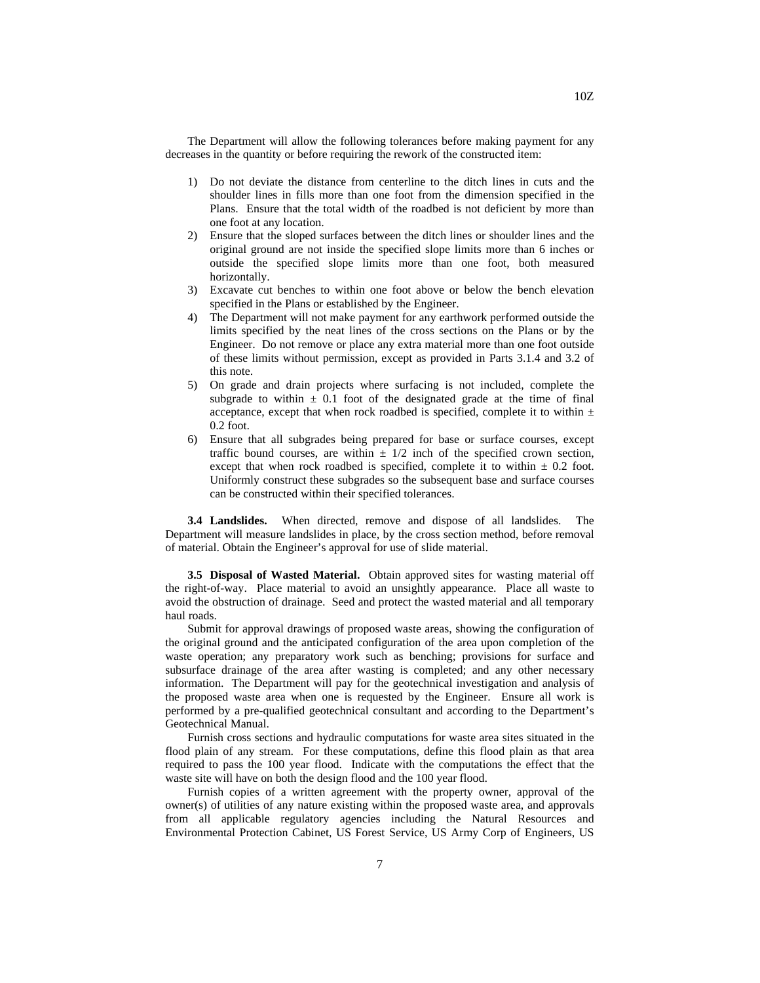The Department will allow the following tolerances before making payment for any decreases in the quantity or before requiring the rework of the constructed item:

- 1) Do not deviate the distance from centerline to the ditch lines in cuts and the shoulder lines in fills more than one foot from the dimension specified in the Plans. Ensure that the total width of the roadbed is not deficient by more than one foot at any location.
- 2) Ensure that the sloped surfaces between the ditch lines or shoulder lines and the original ground are not inside the specified slope limits more than 6 inches or outside the specified slope limits more than one foot, both measured horizontally.
- 3) Excavate cut benches to within one foot above or below the bench elevation specified in the Plans or established by the Engineer.
- 4) The Department will not make payment for any earthwork performed outside the limits specified by the neat lines of the cross sections on the Plans or by the Engineer. Do not remove or place any extra material more than one foot outside of these limits without permission, except as provided in Parts 3.1.4 and 3.2 of this note.
- 5) On grade and drain projects where surfacing is not included, complete the subgrade to within  $\pm$  0.1 foot of the designated grade at the time of final acceptance, except that when rock roadbed is specified, complete it to within  $\pm$ 0.2 foot.
- 6) Ensure that all subgrades being prepared for base or surface courses, except traffic bound courses, are within  $\pm$  1/2 inch of the specified crown section, except that when rock roadbed is specified, complete it to within  $\pm$  0.2 foot. Uniformly construct these subgrades so the subsequent base and surface courses can be constructed within their specified tolerances.

**3.4 Landslides.** When directed, remove and dispose of all landslides. The Department will measure landslides in place, by the cross section method, before removal of material. Obtain the Engineer's approval for use of slide material.

**3.5 Disposal of Wasted Material.** Obtain approved sites for wasting material off the right-of-way. Place material to avoid an unsightly appearance. Place all waste to avoid the obstruction of drainage. Seed and protect the wasted material and all temporary haul roads.

Submit for approval drawings of proposed waste areas, showing the configuration of the original ground and the anticipated configuration of the area upon completion of the waste operation; any preparatory work such as benching; provisions for surface and subsurface drainage of the area after wasting is completed; and any other necessary information. The Department will pay for the geotechnical investigation and analysis of the proposed waste area when one is requested by the Engineer. Ensure all work is performed by a pre-qualified geotechnical consultant and according to the Department's Geotechnical Manual.

Furnish cross sections and hydraulic computations for waste area sites situated in the flood plain of any stream. For these computations, define this flood plain as that area required to pass the 100 year flood. Indicate with the computations the effect that the waste site will have on both the design flood and the 100 year flood.

Furnish copies of a written agreement with the property owner, approval of the owner(s) of utilities of any nature existing within the proposed waste area, and approvals from all applicable regulatory agencies including the Natural Resources and Environmental Protection Cabinet, US Forest Service, US Army Corp of Engineers, US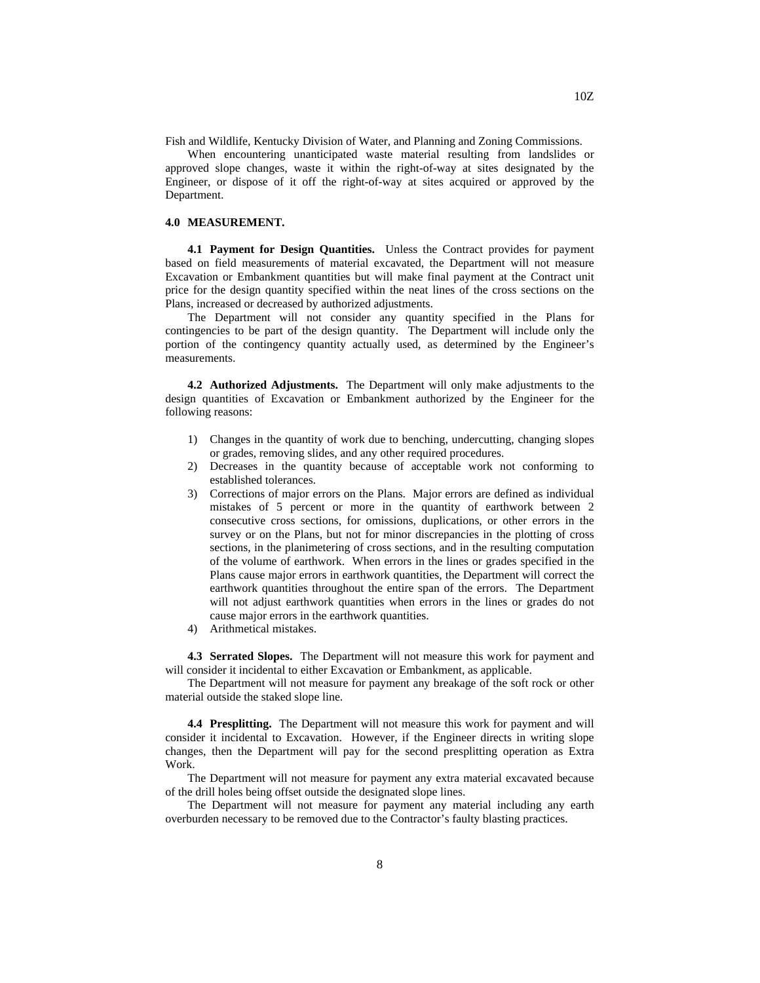Fish and Wildlife, Kentucky Division of Water, and Planning and Zoning Commissions.

When encountering unanticipated waste material resulting from landslides or approved slope changes, waste it within the right-of-way at sites designated by the Engineer, or dispose of it off the right-of-way at sites acquired or approved by the Department.

## **4.0 MEASUREMENT.**

**4.1 Payment for Design Quantities.** Unless the Contract provides for payment based on field measurements of material excavated, the Department will not measure Excavation or Embankment quantities but will make final payment at the Contract unit price for the design quantity specified within the neat lines of the cross sections on the Plans, increased or decreased by authorized adjustments.

The Department will not consider any quantity specified in the Plans for contingencies to be part of the design quantity. The Department will include only the portion of the contingency quantity actually used, as determined by the Engineer's measurements.

**4.2 Authorized Adjustments.** The Department will only make adjustments to the design quantities of Excavation or Embankment authorized by the Engineer for the following reasons:

- 1) Changes in the quantity of work due to benching, undercutting, changing slopes or grades, removing slides, and any other required procedures.
- 2) Decreases in the quantity because of acceptable work not conforming to established tolerances.
- 3) Corrections of major errors on the Plans. Major errors are defined as individual mistakes of 5 percent or more in the quantity of earthwork between 2 consecutive cross sections, for omissions, duplications, or other errors in the survey or on the Plans, but not for minor discrepancies in the plotting of cross sections, in the planimetering of cross sections, and in the resulting computation of the volume of earthwork. When errors in the lines or grades specified in the Plans cause major errors in earthwork quantities, the Department will correct the earthwork quantities throughout the entire span of the errors. The Department will not adjust earthwork quantities when errors in the lines or grades do not cause major errors in the earthwork quantities.
- 4) Arithmetical mistakes.

**4.3 Serrated Slopes.** The Department will not measure this work for payment and will consider it incidental to either Excavation or Embankment, as applicable.

The Department will not measure for payment any breakage of the soft rock or other material outside the staked slope line.

**4.4 Presplitting.** The Department will not measure this work for payment and will consider it incidental to Excavation. However, if the Engineer directs in writing slope changes, then the Department will pay for the second presplitting operation as Extra Work.

The Department will not measure for payment any extra material excavated because of the drill holes being offset outside the designated slope lines.

The Department will not measure for payment any material including any earth overburden necessary to be removed due to the Contractor's faulty blasting practices.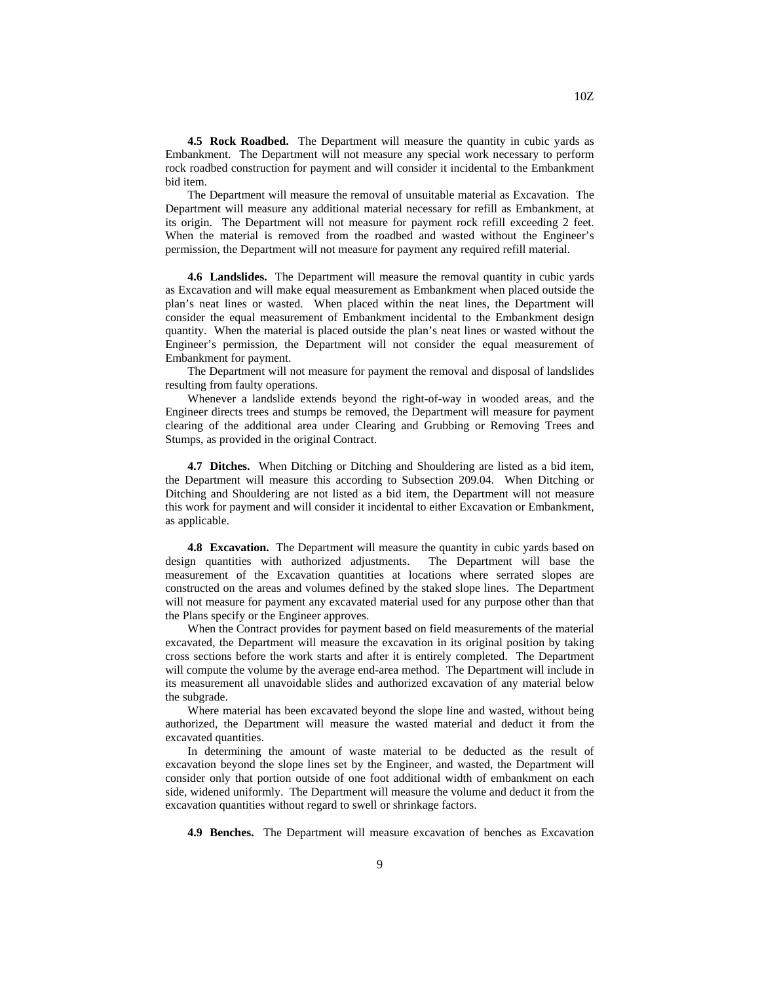**4.5 Rock Roadbed.** The Department will measure the quantity in cubic yards as Embankment. The Department will not measure any special work necessary to perform rock roadbed construction for payment and will consider it incidental to the Embankment bid item.

The Department will measure the removal of unsuitable material as Excavation. The Department will measure any additional material necessary for refill as Embankment, at its origin. The Department will not measure for payment rock refill exceeding 2 feet. When the material is removed from the roadbed and wasted without the Engineer's permission, the Department will not measure for payment any required refill material.

**4.6 Landslides.** The Department will measure the removal quantity in cubic yards as Excavation and will make equal measurement as Embankment when placed outside the plan's neat lines or wasted. When placed within the neat lines, the Department will consider the equal measurement of Embankment incidental to the Embankment design quantity. When the material is placed outside the plan's neat lines or wasted without the Engineer's permission, the Department will not consider the equal measurement of Embankment for payment.

The Department will not measure for payment the removal and disposal of landslides resulting from faulty operations.

Whenever a landslide extends beyond the right-of-way in wooded areas, and the Engineer directs trees and stumps be removed, the Department will measure for payment clearing of the additional area under Clearing and Grubbing or Removing Trees and Stumps, as provided in the original Contract.

**4.7 Ditches.** When Ditching or Ditching and Shouldering are listed as a bid item, the Department will measure this according to Subsection 209.04. When Ditching or Ditching and Shouldering are not listed as a bid item, the Department will not measure this work for payment and will consider it incidental to either Excavation or Embankment, as applicable.

**4.8 Excavation.** The Department will measure the quantity in cubic yards based on design quantities with authorized adjustments. The Department will base the measurement of the Excavation quantities at locations where serrated slopes are constructed on the areas and volumes defined by the staked slope lines. The Department will not measure for payment any excavated material used for any purpose other than that the Plans specify or the Engineer approves.

When the Contract provides for payment based on field measurements of the material excavated, the Department will measure the excavation in its original position by taking cross sections before the work starts and after it is entirely completed. The Department will compute the volume by the average end-area method. The Department will include in its measurement all unavoidable slides and authorized excavation of any material below the subgrade.

Where material has been excavated beyond the slope line and wasted, without being authorized, the Department will measure the wasted material and deduct it from the excavated quantities.

In determining the amount of waste material to be deducted as the result of excavation beyond the slope lines set by the Engineer, and wasted, the Department will consider only that portion outside of one foot additional width of embankment on each side, widened uniformly. The Department will measure the volume and deduct it from the excavation quantities without regard to swell or shrinkage factors.

**4.9 Benches.** The Department will measure excavation of benches as Excavation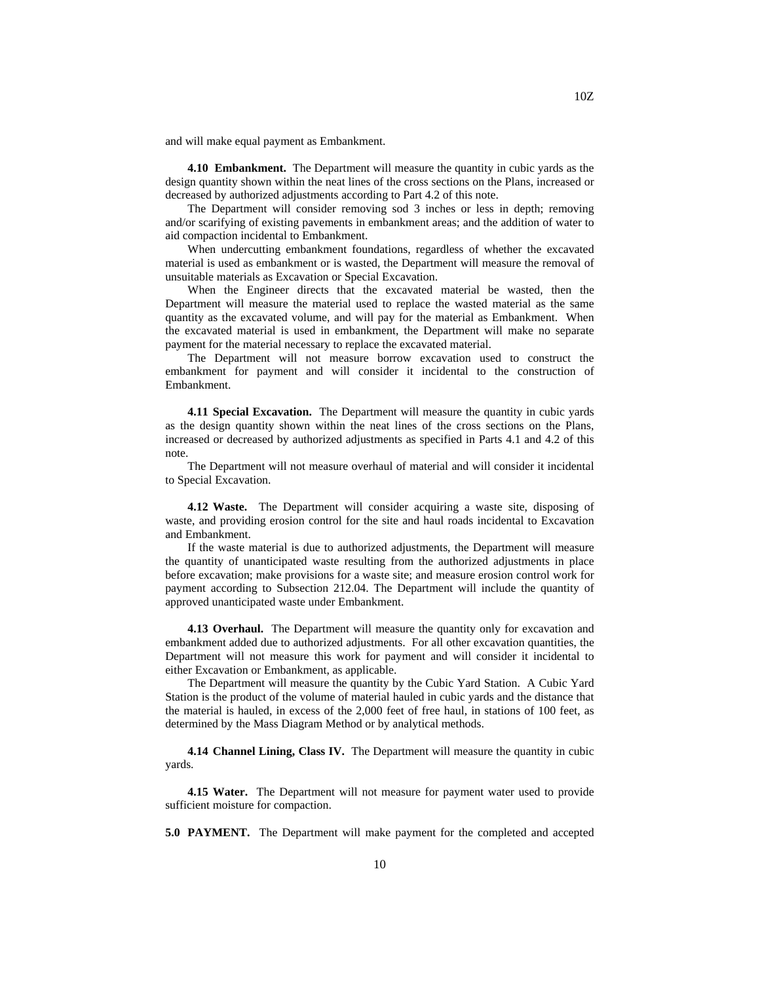and will make equal payment as Embankment.

**4.10 Embankment.** The Department will measure the quantity in cubic yards as the design quantity shown within the neat lines of the cross sections on the Plans, increased or decreased by authorized adjustments according to Part 4.2 of this note.

The Department will consider removing sod 3 inches or less in depth; removing and/or scarifying of existing pavements in embankment areas; and the addition of water to aid compaction incidental to Embankment.

When undercutting embankment foundations, regardless of whether the excavated material is used as embankment or is wasted, the Department will measure the removal of unsuitable materials as Excavation or Special Excavation.

When the Engineer directs that the excavated material be wasted, then the Department will measure the material used to replace the wasted material as the same quantity as the excavated volume, and will pay for the material as Embankment. When the excavated material is used in embankment, the Department will make no separate payment for the material necessary to replace the excavated material.

The Department will not measure borrow excavation used to construct the embankment for payment and will consider it incidental to the construction of Embankment.

**4.11 Special Excavation.** The Department will measure the quantity in cubic yards as the design quantity shown within the neat lines of the cross sections on the Plans, increased or decreased by authorized adjustments as specified in Parts 4.1 and 4.2 of this note.

The Department will not measure overhaul of material and will consider it incidental to Special Excavation.

**4.12 Waste.** The Department will consider acquiring a waste site, disposing of waste, and providing erosion control for the site and haul roads incidental to Excavation and Embankment.

If the waste material is due to authorized adjustments, the Department will measure the quantity of unanticipated waste resulting from the authorized adjustments in place before excavation; make provisions for a waste site; and measure erosion control work for payment according to Subsection 212.04. The Department will include the quantity of approved unanticipated waste under Embankment.

**4.13 Overhaul.** The Department will measure the quantity only for excavation and embankment added due to authorized adjustments. For all other excavation quantities, the Department will not measure this work for payment and will consider it incidental to either Excavation or Embankment, as applicable.

The Department will measure the quantity by the Cubic Yard Station. A Cubic Yard Station is the product of the volume of material hauled in cubic yards and the distance that the material is hauled, in excess of the 2,000 feet of free haul, in stations of 100 feet, as determined by the Mass Diagram Method or by analytical methods.

**4.14 Channel Lining, Class IV.** The Department will measure the quantity in cubic yards.

**4.15 Water.** The Department will not measure for payment water used to provide sufficient moisture for compaction.

**5.0 PAYMENT.** The Department will make payment for the completed and accepted